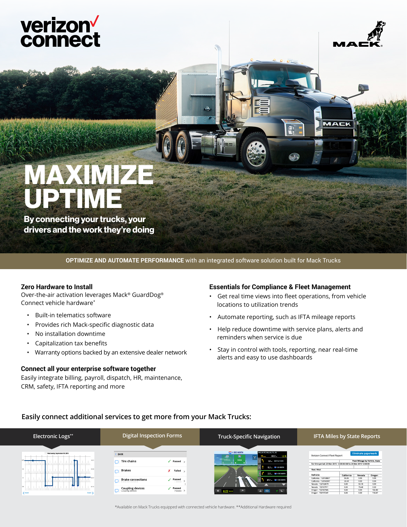# verizon'<br>connect



MACK

## MAXIMIZE UPTIME

By connecting your trucks, your drivers and the work they're doing

**OPTIMIZE AND AUTOMATE PERFORMANCE** with an integrated software solution built for Mack Trucks

#### **Zero Hardware to Install**

Over-the-air activation leverages Mack® GuardDog® Connect vehicle hardware\*

- Built-in telematics software
- Provides rich Mack-specific diagnostic data
- No installation downtime
- Capitalization tax benefits
- Warranty options backed by an extensive dealer network

#### **Connect all your enterprise software together**

Easily integrate billing, payroll, dispatch, HR, maintenance, CRM, safety, IFTA reporting and more

#### **Essentials for Compliance & Fleet Management**

- Get real time views into fleet operations, from vehicle locations to utilization trends
- Automate reporting, such as IFTA mileage reports
- Help reduce downtime with service plans, alerts and reminders when service is due
- Stay in control with tools, reporting, near real-time alerts and easy to use dashboards

#### **Easily connect additional services to get more from your Mack Trucks:**

| Electronic Logs**                    | <b>Digital Inspection Forms</b> |               | <b>Truck-Specific Navigation</b>                                                          |                                                     | <b>IFTA Miles by State Reports</b>                                                                  |               |                |
|--------------------------------------|---------------------------------|---------------|-------------------------------------------------------------------------------------------|-----------------------------------------------------|-----------------------------------------------------------------------------------------------------|---------------|----------------|
|                                      |                                 |               |                                                                                           |                                                     |                                                                                                     |               |                |
| Wechesday, September 09, 2015<br>141 | <b>OVIR</b>                     |               | <b>ESTP I-35E NORTH</b><br><b>DALLAS ST, DALLAS, TX, US</b><br>$68.2 -$<br>零<br>æ,<br>1.3 | Eliminate paperwork<br>Verizon Connect Fleet Report |                                                                                                     |               |                |
|                                      | Tire chains<br>Passed >         |               | <b>Ft Worth</b><br><b>Dallas</b><br>$1.0 =$ EXIT to 1-35 N                                |                                                     | Fleet Mileage by Vehicle, State<br>For time period: 23 Mar 2015 12:00:00 AM to 24 Mar 2015 12:00:00 |               |                |
|                                      | <b>Brakes</b>                   | ×<br>Failed > | <b>0.3  W I-35 NORTH</b>                                                                  | Fleet: West                                         |                                                                                                     |               |                |
|                                      |                                 |               | 2.5 m W I-35E NORTH                                                                       | Vehicle                                             | California                                                                                          | Nevada        | Oregon         |
|                                      | <b>Brake connections</b>        |               |                                                                                           | California - 153158827                              | 35.06                                                                                               | 0.00          | 0.00           |
|                                      |                                 | Passed        | 47.2 - <b>100 1-35E NORTH</b>                                                             | California - 153160397                              | 26.59                                                                                               | 0.00          | 0.00           |
| U U<br>02.12                         |                                 |               | , ,                                                                                       | Nevada - 153163079                                  | 0.00                                                                                                | 50.78         | 0.00           |
|                                      | <b>Coupling devices</b>         | Passed        | A O<br>9 <sup>2</sup>                                                                     | Nevada - 153167911<br>Oregon - 153187945            | $0.00 -$<br>0.00                                                                                    | 73.48<br>0,00 | 0.00<br>182.80 |
| $\epsilon$ Event<br>Event >          | couping uevices                 | nasseu        | $\sqrt{2}$<br>6:22 импл                                                                   | Oregon - 153197241                                  | $0.00 -$                                                                                            | 0.00          | 193.47         |